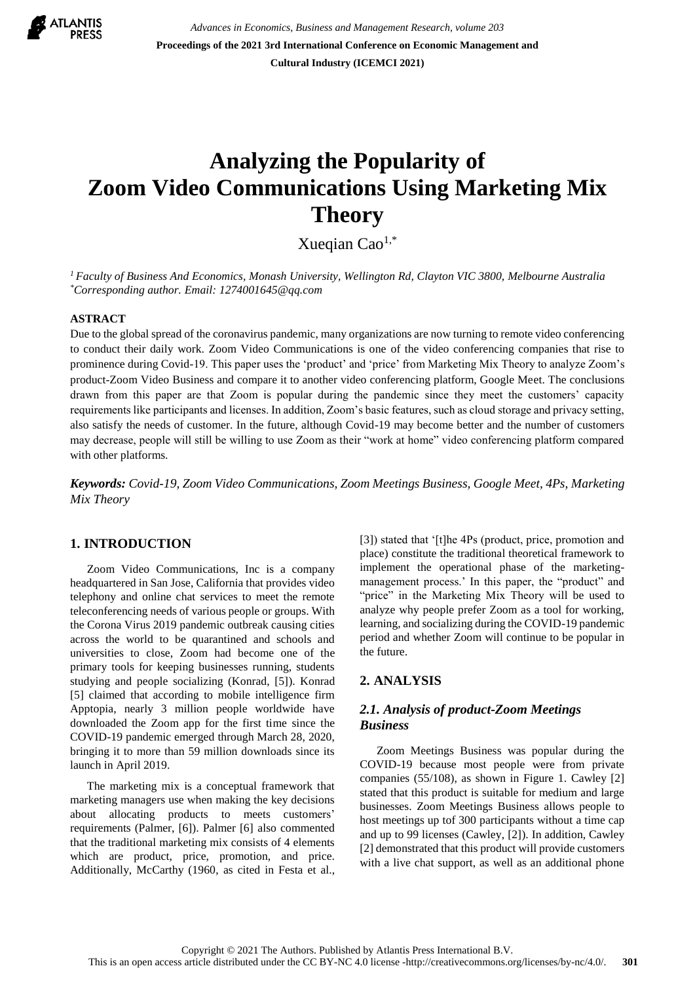

*Advances in Economics, Business and Management Research, volume 203* **Proceedings of the 2021 3rd International Conference on Economic Management and Cultural Industry (ICEMCI 2021)**

# **Analyzing the Popularity of Zoom Video Communications Using Marketing Mix Theory**

Xueqian Cao1,\*

*<sup>1</sup>Faculty of Business And Economics, Monash University, Wellington Rd, Clayton VIC 3800, Melbourne Australia \*Corresponding author. Email: 1274001645@qq.com*

#### **ASTRACT**

Due to the global spread of the coronavirus pandemic, many organizations are now turning to remote video conferencing to conduct their daily work. Zoom Video Communications is one of the video conferencing companies that rise to prominence during Covid-19. This paper uses the 'product' and 'price' from Marketing Mix Theory to analyze Zoom's product-Zoom Video Business and compare it to another video conferencing platform, Google Meet. The conclusions drawn from this paper are that Zoom is popular during the pandemic since they meet the customers' capacity requirements like participants and licenses. In addition, Zoom's basic features, such as cloud storage and privacy setting, also satisfy the needs of customer. In the future, although Covid-19 may become better and the number of customers may decrease, people will still be willing to use Zoom as their "work at home" video conferencing platform compared with other platforms.

*Keywords: Covid-19, Zoom Video Communications, Zoom Meetings Business, Google Meet, 4Ps, Marketing Mix Theory*

# **1. INTRODUCTION**

Zoom Video Communications, Inc is a company headquartered in San Jose, California that provides video telephony and online chat services to meet the remote teleconferencing needs of various people or groups. With the Corona Virus 2019 pandemic outbreak causing cities across the world to be quarantined and schools and universities to close, Zoom had become one of the primary tools for keeping businesses running, students studying and people socializing (Konrad, [5]). Konrad [5] claimed that according to mobile intelligence firm Apptopia, nearly 3 million people worldwide have downloaded the Zoom app for the first time since the COVID-19 pandemic emerged through March 28, 2020, bringing it to more than 59 million downloads since its launch in April 2019.

The marketing mix is a conceptual framework that marketing managers use when making the key decisions about allocating products to meets customers' requirements (Palmer, [6]). Palmer [6] also commented that the traditional marketing mix consists of 4 elements which are product, price, promotion, and price. Additionally, McCarthy (1960, as cited in Festa et al.,

[3]) stated that '[t]he 4Ps (product, price, promotion and place) constitute the traditional theoretical framework to implement the operational phase of the marketingmanagement process.' In this paper, the "product" and "price" in the Marketing Mix Theory will be used to analyze why people prefer Zoom as a tool for working, learning, and socializing during the COVID-19 pandemic period and whether Zoom will continue to be popular in the future.

#### **2. ANALYSIS**

## *2.1. Analysis of product-Zoom Meetings Business*

Zoom Meetings Business was popular during the COVID-19 because most people were from private companies (55/108), as shown in Figure 1. Cawley [2] stated that this product is suitable for medium and large businesses. Zoom Meetings Business allows people to host meetings up tof 300 participants without a time cap and up to 99 licenses (Cawley, [2]). In addition, Cawley [2] demonstrated that this product will provide customers with a live chat support, as well as an additional phone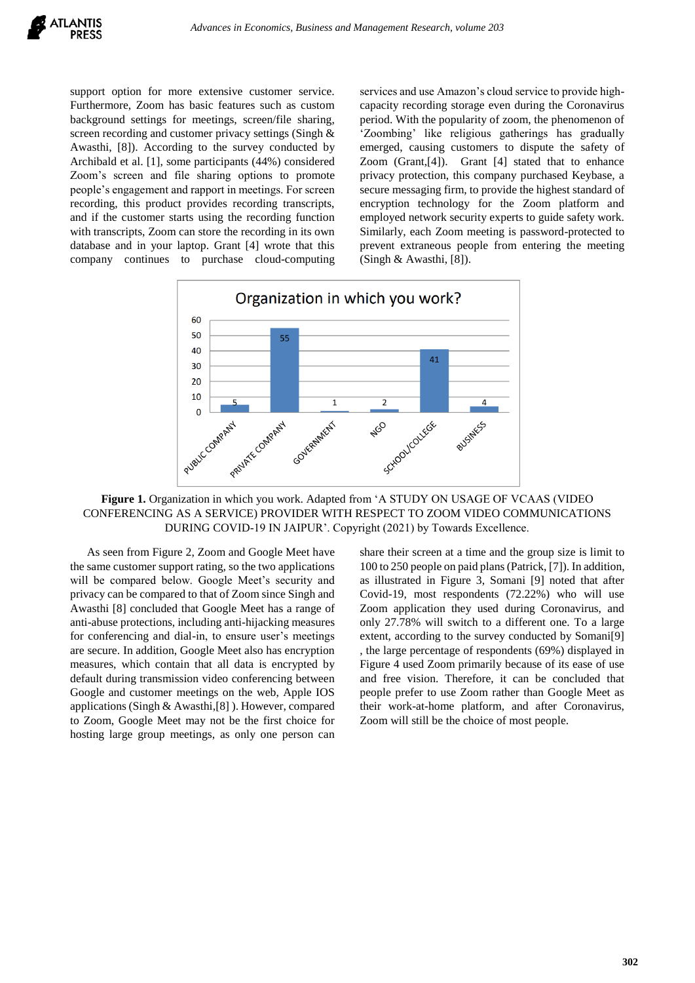support option for more extensive customer service. Furthermore, Zoom has basic features such as custom background settings for meetings, screen/file sharing, screen recording and customer privacy settings (Singh & Awasthi, [8]). According to the survey conducted by Archibald et al. [1], some participants (44%) considered Zoom's screen and file sharing options to promote people's engagement and rapport in meetings. For screen recording, this product provides recording transcripts, and if the customer starts using the recording function with transcripts, Zoom can store the recording in its own database and in your laptop. Grant [4] wrote that this company continues to purchase cloud-computing services and use Amazon's cloud service to provide highcapacity recording storage even during the Coronavirus period. With the popularity of zoom, the phenomenon of 'Zoombing' like religious gatherings has gradually emerged, causing customers to dispute the safety of Zoom (Grant,[4]). Grant [4] stated that to enhance privacy protection, this company purchased Keybase, a secure messaging firm, to provide the highest standard of encryption technology for the Zoom platform and employed network security experts to guide safety work. Similarly, each Zoom meeting is password-protected to prevent extraneous people from entering the meeting (Singh & Awasthi, [8]).



**Figure 1.** Organization in which you work. Adapted from 'A STUDY ON USAGE OF VCAAS (VIDEO CONFERENCING AS A SERVICE) PROVIDER WITH RESPECT TO ZOOM VIDEO COMMUNICATIONS DURING COVID-19 IN JAIPUR'. Copyright (2021) by Towards Excellence.

As seen from Figure 2, Zoom and Google Meet have the same customer support rating, so the two applications will be compared below. Google Meet's security and privacy can be compared to that of Zoom since Singh and Awasthi [8] concluded that Google Meet has a range of anti-abuse protections, including anti-hijacking measures for conferencing and dial-in, to ensure user's meetings are secure. In addition, Google Meet also has encryption measures, which contain that all data is encrypted by default during transmission video conferencing between Google and customer meetings on the web, Apple IOS applications (Singh & Awasthi,[8] ). However, compared to Zoom, Google Meet may not be the first choice for hosting large group meetings, as only one person can

share their screen at a time and the group size is limit to 100 to 250 people on paid plans (Patrick, [7]). In addition, as illustrated in Figure 3, Somani [9] noted that after Covid-19, most respondents (72.22%) who will use Zoom application they used during Coronavirus, and only 27.78% will switch to a different one. To a large extent, according to the survey conducted by Somani[9] , the large percentage of respondents (69%) displayed in Figure 4 used Zoom primarily because of its ease of use and free vision. Therefore, it can be concluded that people prefer to use Zoom rather than Google Meet as their work-at-home platform, and after Coronavirus, Zoom will still be the choice of most people.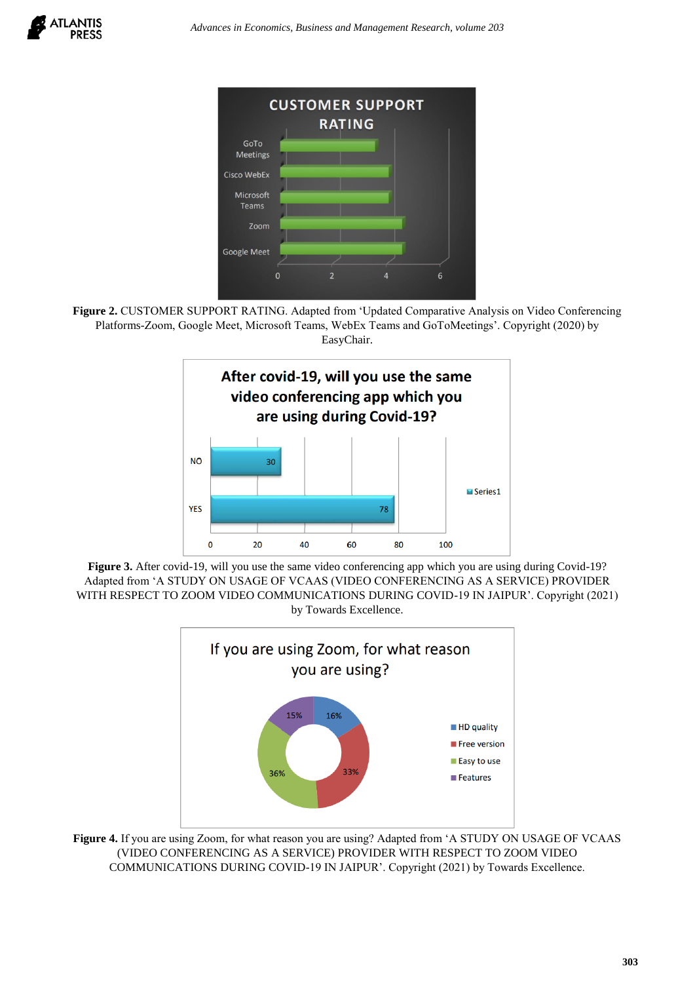

**Figure 2.** CUSTOMER SUPPORT RATING. Adapted from 'Updated Comparative Analysis on Video Conferencing Platforms-Zoom, Google Meet, Microsoft Teams, WebEx Teams and GoToMeetings'. Copyright (2020) by EasyChair.



**Figure 3.** After covid-19, will you use the same video conferencing app which you are using during Covid-19? Adapted from 'A STUDY ON USAGE OF VCAAS (VIDEO CONFERENCING AS A SERVICE) PROVIDER WITH RESPECT TO ZOOM VIDEO COMMUNICATIONS DURING COVID-19 IN JAIPUR'. Copyright (2021) by Towards Excellence.



**Figure 4.** If you are using Zoom, for what reason you are using? Adapted from 'A STUDY ON USAGE OF VCAAS (VIDEO CONFERENCING AS A SERVICE) PROVIDER WITH RESPECT TO ZOOM VIDEO COMMUNICATIONS DURING COVID-19 IN JAIPUR'. Copyright (2021) by Towards Excellence.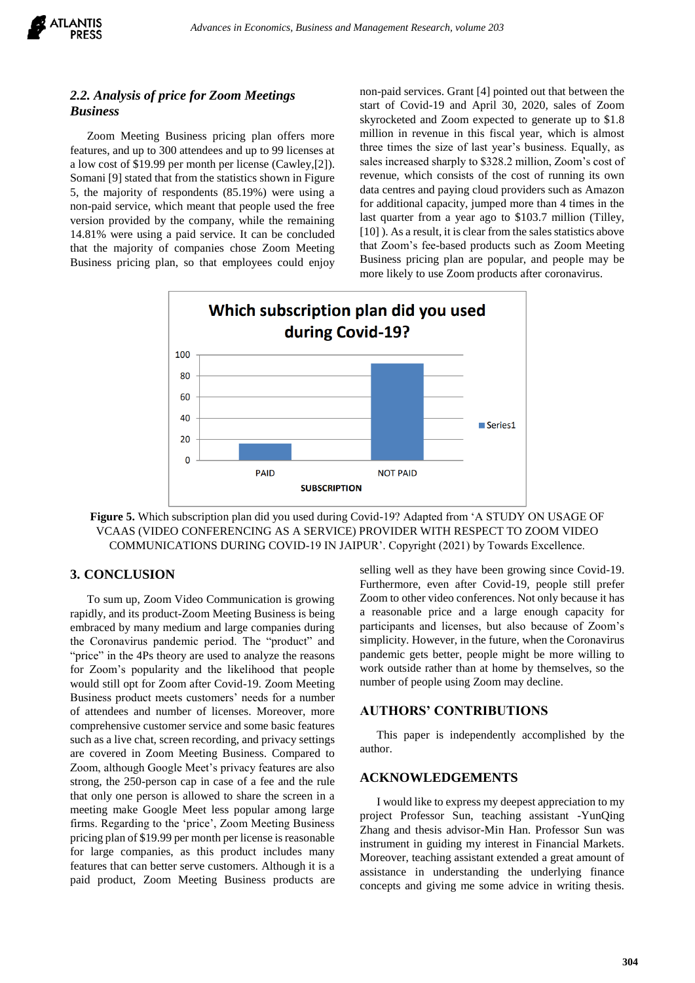

# *2.2. Analysis of price for Zoom Meetings Business*

Zoom Meeting Business pricing plan offers more features, and up to 300 attendees and up to 99 licenses at a low cost of \$19.99 per month per license (Cawley,[2]). Somani [9] stated that from the statistics shown in Figure 5, the majority of respondents (85.19%) were using a non-paid service, which meant that people used the free version provided by the company, while the remaining 14.81% were using a paid service. It can be concluded that the majority of companies chose Zoom Meeting Business pricing plan, so that employees could enjoy

non-paid services. Grant [4] pointed out that between the start of Covid-19 and April 30, 2020, sales of Zoom skyrocketed and Zoom expected to generate up to \$1.8 million in revenue in this fiscal year, which is almost three times the size of last year's business. Equally, as sales increased sharply to \$328.2 million, Zoom's cost of revenue, which consists of the cost of running its own data centres and paying cloud providers such as Amazon for additional capacity, jumped more than 4 times in the last quarter from a year ago to \$103.7 million (Tilley, [10] ). As a result, it is clear from the sales statistics above that Zoom's fee-based products such as Zoom Meeting Business pricing plan are popular, and people may be more likely to use Zoom products after coronavirus.



**Figure 5.** Which subscription plan did you used during Covid-19? Adapted from 'A STUDY ON USAGE OF VCAAS (VIDEO CONFERENCING AS A SERVICE) PROVIDER WITH RESPECT TO ZOOM VIDEO COMMUNICATIONS DURING COVID-19 IN JAIPUR'. Copyright (2021) by Towards Excellence.

# **3. CONCLUSION**

To sum up, Zoom Video Communication is growing rapidly, and its product-Zoom Meeting Business is being embraced by many medium and large companies during the Coronavirus pandemic period. The "product" and "price" in the 4Ps theory are used to analyze the reasons for Zoom's popularity and the likelihood that people would still opt for Zoom after Covid-19. Zoom Meeting Business product meets customers' needs for a number of attendees and number of licenses. Moreover, more comprehensive customer service and some basic features such as a live chat, screen recording, and privacy settings are covered in Zoom Meeting Business. Compared to Zoom, although Google Meet's privacy features are also strong, the 250-person cap in case of a fee and the rule that only one person is allowed to share the screen in a meeting make Google Meet less popular among large firms. Regarding to the 'price', Zoom Meeting Business pricing plan of \$19.99 per month per license is reasonable for large companies, as this product includes many features that can better serve customers. Although it is a paid product, Zoom Meeting Business products are selling well as they have been growing since Covid-19. Furthermore, even after Covid-19, people still prefer Zoom to other video conferences. Not only because it has a reasonable price and a large enough capacity for participants and licenses, but also because of Zoom's simplicity. However, in the future, when the Coronavirus pandemic gets better, people might be more willing to work outside rather than at home by themselves, so the number of people using Zoom may decline.

#### **AUTHORS' CONTRIBUTIONS**

This paper is independently accomplished by the author.

#### **ACKNOWLEDGEMENTS**

I would like to express my deepest appreciation to my project Professor Sun, teaching assistant -YunQing Zhang and thesis advisor-Min Han. Professor Sun was instrument in guiding my interest in Financial Markets. Moreover, teaching assistant extended a great amount of assistance in understanding the underlying finance concepts and giving me some advice in writing thesis.